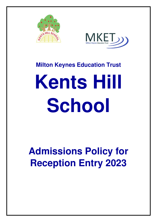



### **Milton Keynes Education Trust**

# **Kents Hill School**

## **Admissions Policy for Reception Entry 2023**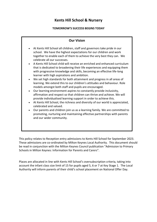#### **Kents Hill School & Nursery**

#### **TOMORROW'S SUCCESS BEGINS TODAY**

| <b>Our Vision</b>                                                                                                                                                                                                                                                                                                                                                                                                                                                                                                                                                                                                                                                                                                                                                                                                                                                                                                                                                                                                                                                                                                                                                                                                                                                                  |
|------------------------------------------------------------------------------------------------------------------------------------------------------------------------------------------------------------------------------------------------------------------------------------------------------------------------------------------------------------------------------------------------------------------------------------------------------------------------------------------------------------------------------------------------------------------------------------------------------------------------------------------------------------------------------------------------------------------------------------------------------------------------------------------------------------------------------------------------------------------------------------------------------------------------------------------------------------------------------------------------------------------------------------------------------------------------------------------------------------------------------------------------------------------------------------------------------------------------------------------------------------------------------------|
| At Kents Hill School all children, staff and governors take pride in our<br>school. We have the highest expectations for our children and work<br>together to enable each of them to achieve the very best they can. We<br>celebrate all our successes.<br>A Kents Hill School child will receive an enriched and enhanced curriculum<br>that is dedicated to broadening their life experiences and equipping them<br>with progressive knowledge and skills, becoming an effective life-long<br>learner with high aspirations and ambition.<br>We set high standards for both attainment and progress in all areas of<br>learning. We extend this to our children's attitudes and behaviour. Role<br>models amongst both staff and pupils are encouraged.<br>Our learning environment aspires to constantly provide inclusivity,<br>affirmation and respect so that children can thrive and achieve. We will<br>provide individualised learning support in order to achieve this.<br>At Kents Hill School, the richness and diversity of our world is appreciated,<br>celebrated and valued.<br>Our parents and children join us as a learning family. We are committed to<br>promoting, nurturing and maintaining effective partnerships with parents<br>and our wider community. |
|                                                                                                                                                                                                                                                                                                                                                                                                                                                                                                                                                                                                                                                                                                                                                                                                                                                                                                                                                                                                                                                                                                                                                                                                                                                                                    |

This policy relates to Reception entry admissions to Kents Hill School for September 2023. These admissions are co-ordinated by Milton Keynes Local Authority. This document should be read in conjunction with the Milton Keynes Council publication "Admission to Primary Schools in Milton Keynes: Information for Parents and Carers".

Places are allocated in line with Kents Hill School's oversubscription criteria, taking into account the infant class size limit of 15 for pupils aged 5, 6 or 7 at Key Stage 1. The Local Authority will inform parents of their child's school placement on National Offer Day.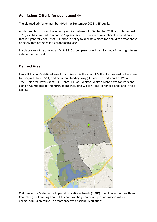#### **Admissions Criteria for pupils aged 4+**

The planned admission number (PAN) for September 2023 is **15** pupils.

All children born during the school year, i.e. between 1st September 2018 and 31st August 2019, will be admitted to school in September 2023. Prospective applicants should note that it is generally not Kents Hill School's policy to allocate a place for a child to a year above or below that of the child's chronological age.

If a place cannot be offered at Kents Hill School, parents will be informed of their right to an independent appeal.

#### **Defined Area**

Kents Hill School's defined area for admissions is the area of Milton Keynes east of the Ouzel to Tongwell Street (V11) and between Standing Way (H8) and the north part of Walnut Tree. This area covers Kents Hill, Kents Hill Park, Walton, Walton Manor, Walton Park and part of Walnut Tree to the north of and including Walton Road, Hindhead Knoll and Fyfield Barrow.



Children with a Statement of Special Educational Needs (SEND) or an Education, Health and Care plan (EHC) naming Kents Hill School will be given priority for admission within the normal admission round, in accordance with national regulations.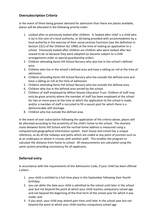#### **Oversubscription Criteria**

In the event of there being greater demand for admission than there are places available, places will be allocated in the following priority order:

- 1. Looked after or previously looked after children. A 'looked after child' is a child who is (a) in the care of a local authority, or (b) being provided with accommodation by a local authority in the exercise of their social services functions (see the definition in Section 22(1) of the Children Act 1989) at the time of making an application to a school. Previously looked after children are children who were looked after but ceased to be so because they were adopted (or became subject to a child arrangements order or special guardianship order).
- 2. Children attending Kents Hill School Nursery who also live in the school's defined area.
- 3. Children who live in the school's defined area and have a sibling on roll at the time of admission.
- 4. Children attending Kents Hill School Nursery who live outside the defined area and have a sibling on roll at the time of admission.
- 5. Children attending Kents Hill School Nursery who live outside the defined area.
- 6. Children who live in the defined area served by the school.
- 7. Children of staff employed by Milton Keynes Education Trust. Children of staff may only be given priority where the member of staff has been employed at the school for two or more years at the time at which the application to the school is made, and/or a member of staff is recruited to fill a vacant post for which there is a demonstrable skill shortage.
- 8. Children who live outside the defined area.

In the event of over subscription following the application of the criteria above, places will be allocated according to the proximity of the child's home to the school. The shortest route between Kents Hill School and the normal home address is measured using a computerised geographical information system. Each house and school has a unique reference, as do all the redways and paths which are coded at any point of junction such as at an underpass or where it crosses with another path. This enables the program to calculate the distance from home to school. All measurements are calculated using the same system providing consistency for all applicants.

#### **Deferred entry**

In accordance with the requirements of the Admissions Code, if your child has been offered a place:-

- 1. your child is entitled to a full-time place in the September following their fourth birthday;
- 2. you can defer the date your child is admitted to the school until later in the school year but not beyond the point at which your child reaches compulsory school age and not beyond the beginning of the final term of the school year for which it was made; and
- 3. if you wish, your child may attend part-time until later in the school year but not beyond the point at which your child reaches compulsory school age.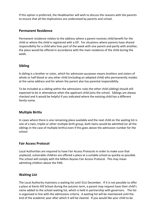If this option is preferred, the Headteacher will wish to discuss the reasons with the parents to ensure that all the implications are understood by parents and school.

#### **Permanent Residence**

Permanent residence relates to the address where a parent receives child benefit for the child or where the child is registered with a GP. For situations where parents have shared responsibility for a child who lives part of the week with one parent and partly with another, the place would be offered in accordance with the main residence of the child during the week.

#### **Sibling**

A sibling is a brother or sister, which for admission purposes means brothers and sisters of whole or half blood or any other child (including an adopted child) who permanently resides at the same address and for whom the parent also has parental responsibility.

To be included as a sibling within the admissions rules the other child (sibling) should still expected to be in attendance when the applicant child joins the school. Siblings are always checked and it would be helpful if you indicated where the existing child has a different family name.

#### **Multiple Births**

In cases where there is one remaining place available and the next child on the waiting list is one of a twin, triplet or other multiple birth group, both twins would be admitted (or all the siblings in the case of multiple births) even if this goes above the admission number for the school.

#### **Fair Access Protocol**

Local Authorities are required to have Fair Access Protocols in order to make sure that unplaced, vulnerable children are offered a place at a suitable school as quickly as possible. The school will comply with the Milton Keynes Fair Access Protocol. This may mean admitting children above the PAN.

#### **Waiting List**

The Local Authority maintains a waiting list until 31st December. If it is not possible to offer a place at Kents Hill School during the autumn term, a parent may request have their child's name added to the school waiting list, which is held in partnership with governors. The list is organised in line with the admissions criteria. A waiting list will be maintained until the end of the academic year after which it will be cleared. If you would like your child to be